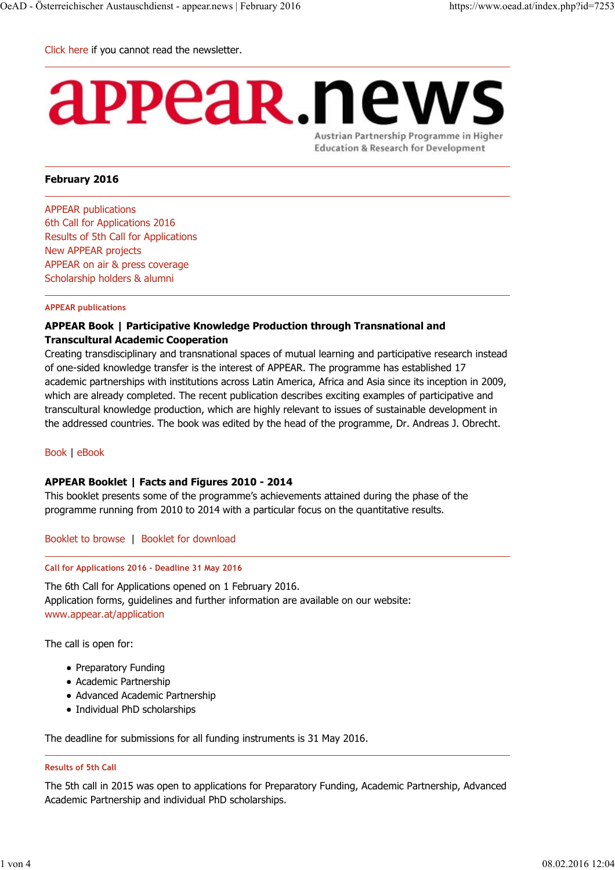Click here if you cannot read the newsletter.

# appear news

Austrian Partnership Programme in Higher **Education & Research for Development** 

# **February 2016**

APPEAR publications 6th Call for Applications 2016 Results of 5th Call for Applications New APPEAR projects APPEAR on air & press coverage Scholarship holders & alumni

#### **APPEAR publications**

# **APPEAR Book | Participative Knowledge Production through Transnational and Transcultural Academic Cooperation**

Creating transdisciplinary and transnational spaces of mutual learning and participative research instead of one-sided knowledge transfer is the interest of APPEAR. The programme has established 17 academic partnerships with institutions across Latin America, Africa and Asia since its inception in 2009, which are already completed. The recent publication describes exciting examples of participative and transcultural knowledge production, which are highly relevant to issues of sustainable development in the addressed countries. The book was edited by the head of the programme, Dr. Andreas J. Obrecht.

#### Book | eBook

# **APPEAR Booklet | Facts and Figures 2010 - 2014**

This booklet presents some of the programme's achievements attained during the phase of the programme running from 2010 to 2014 with a particular focus on the quantitative results.

Booklet to browse | Booklet for download

#### **Call for Applications 2016 - Deadline 31 May 2016**

The 6th Call for Applications opened on 1 February 2016. Application forms, guidelines and further information are available on our website: www.appear.at/application

The call is open for:

- Preparatory Funding
- Academic Partnership
- Advanced Academic Partnership
- Individual PhD scholarships

The deadline for submissions for all funding instruments is 31 May 2016.

#### **Results of 5th Call**

The 5th call in 2015 was open to applications for Preparatory Funding, Academic Partnership, Advanced Academic Partnership and individual PhD scholarships.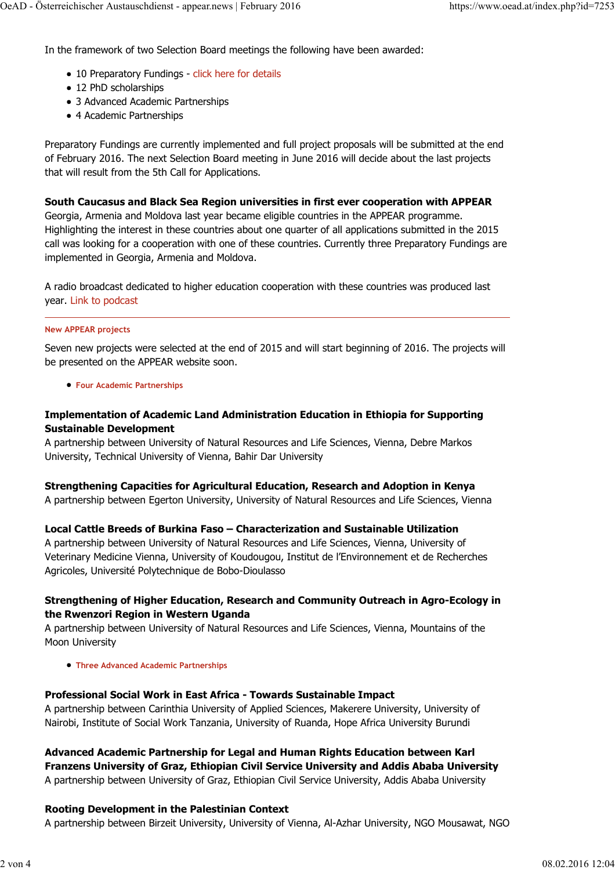In the framework of two Selection Board meetings the following have been awarded:

- 10 Preparatory Fundings click here for details
- 12 PhD scholarships
- 3 Advanced Academic Partnerships
- 4 Academic Partnerships

Preparatory Fundings are currently implemented and full project proposals will be submitted at the end of February 2016. The next Selection Board meeting in June 2016 will decide about the last projects that will result from the 5th Call for Applications.

### **South Caucasus and Black Sea Region universities in first ever cooperation with APPEAR**

Georgia, Armenia and Moldova last year became eligible countries in the APPEAR programme. Highlighting the interest in these countries about one quarter of all applications submitted in the 2015 call was looking for a cooperation with one of these countries. Currently three Preparatory Fundings are implemented in Georgia, Armenia and Moldova.

A radio broadcast dedicated to higher education cooperation with these countries was produced last year. Link to podcast

#### **New APPEAR projects**

Seven new projects were selected at the end of 2015 and will start beginning of 2016. The projects will be presented on the APPEAR website soon.

**Four Academic Partnerships**

# **Implementation of Academic Land Administration Education in Ethiopia for Supporting Sustainable Development**

A partnership between University of Natural Resources and Life Sciences, Vienna, Debre Markos University, Technical University of Vienna, Bahir Dar University

# **Strengthening Capacities for Agricultural Education, Research and Adoption in Kenya**

A partnership between Egerton University, University of Natural Resources and Life Sciences, Vienna

# **Local Cattle Breeds of Burkina Faso – Characterization and Sustainable Utilization**

A partnership between University of Natural Resources and Life Sciences, Vienna, University of Veterinary Medicine Vienna, University of Koudougou, Institut de l'Environnement et de Recherches Agricoles, Université Polytechnique de Bobo-Dioulasso

# **Strengthening of Higher Education, Research and Community Outreach in Agro-Ecology in the Rwenzori Region in Western Uganda**

A partnership between University of Natural Resources and Life Sciences, Vienna, Mountains of the Moon University

**Three Advanced Academic Partnerships**

# **Professional Social Work in East Africa - Towards Sustainable Impact**

A partnership between Carinthia University of Applied Sciences, Makerere University, University of Nairobi, Institute of Social Work Tanzania, University of Ruanda, Hope Africa University Burundi

**Advanced Academic Partnership for Legal and Human Rights Education between Karl Franzens University of Graz, Ethiopian Civil Service University and Addis Ababa University** A partnership between University of Graz, Ethiopian Civil Service University, Addis Ababa University

# **Rooting Development in the Palestinian Context**

A partnership between Birzeit University, University of Vienna, Al-Azhar University, NGO Mousawat, NGO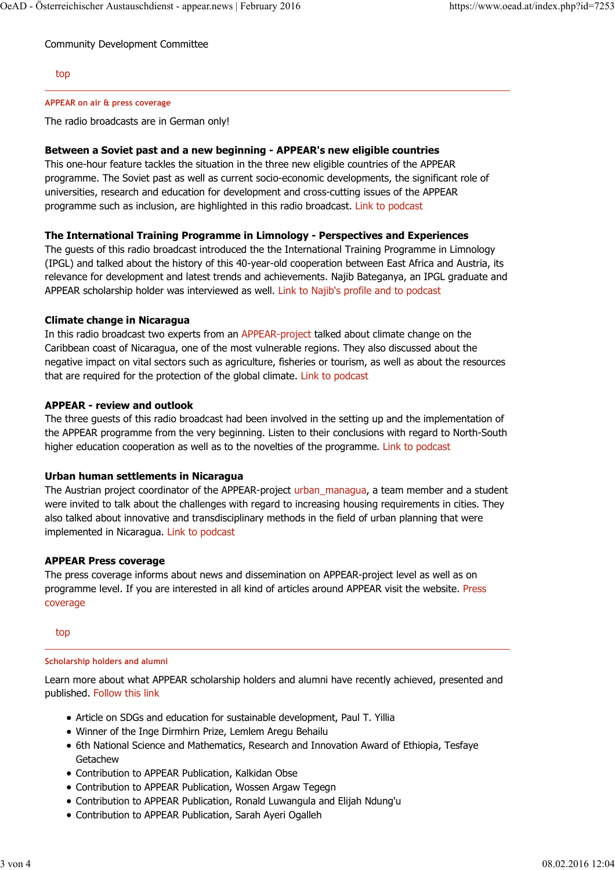Community Development Committee

# top

# **APPEAR on air & press coverage**

The radio broadcasts are in German only!

# **Between a Soviet past and a new beginning - APPEAR's new eligible countries**

This one-hour feature tackles the situation in the three new eligible countries of the APPEAR programme. The Soviet past as well as current socio-economic developments, the significant role of universities, research and education for development and cross-cutting issues of the APPEAR programme such as inclusion, are highlighted in this radio broadcast. Link to podcast

# **The International Training Programme in Limnology - Perspectives and Experiences**

The guests of this radio broadcast introduced the the International Training Programme in Limnology (IPGL) and talked about the history of this 40-year-old cooperation between East Africa and Austria, its relevance for development and latest trends and achievements. Najib Bateganya, an IPGL graduate and APPEAR scholarship holder was interviewed as well. Link to Najib's profile and to podcast

# **Climate change in Nicaragua**

In this radio broadcast two experts from an APPEAR-project talked about climate change on the Caribbean coast of Nicaragua, one of the most vulnerable regions. They also discussed about the negative impact on vital sectors such as agriculture, fisheries or tourism, as well as about the resources that are required for the protection of the global climate. Link to podcast

# **APPEAR - review and outlook**

The three guests of this radio broadcast had been involved in the setting up and the implementation of the APPEAR programme from the very beginning. Listen to their conclusions with regard to North-South higher education cooperation as well as to the novelties of the programme. Link to podcast

# **Urban human settlements in Nicaragua**

The Austrian project coordinator of the APPEAR-project urban managua, a team member and a student were invited to talk about the challenges with regard to increasing housing requirements in cities. They also talked about innovative and transdisciplinary methods in the field of urban planning that were implemented in Nicaragua. Link to podcast

# **APPEAR Press coverage**

The press coverage informs about news and dissemination on APPEAR-project level as well as on programme level. If you are interested in all kind of articles around APPEAR visit the website. Press coverage

top

#### **Scholarship holders and alumni**

Learn more about what APPEAR scholarship holders and alumni have recently achieved, presented and published. Follow this link

- Article on SDGs and education for sustainable development, Paul T. Yillia
- Winner of the Inge Dirmhirn Prize, Lemlem Aregu Behailu
- 6th National Science and Mathematics, Research and Innovation Award of Ethiopia, Tesfaye **Getachew**
- Contribution to APPEAR Publication, Kalkidan Obse
- Contribution to APPEAR Publication, Wossen Argaw Tegegn
- Contribution to APPEAR Publication, Ronald Luwangula and Elijah Ndung'u
- Contribution to APPEAR Publication, Sarah Ayeri Ogalleh